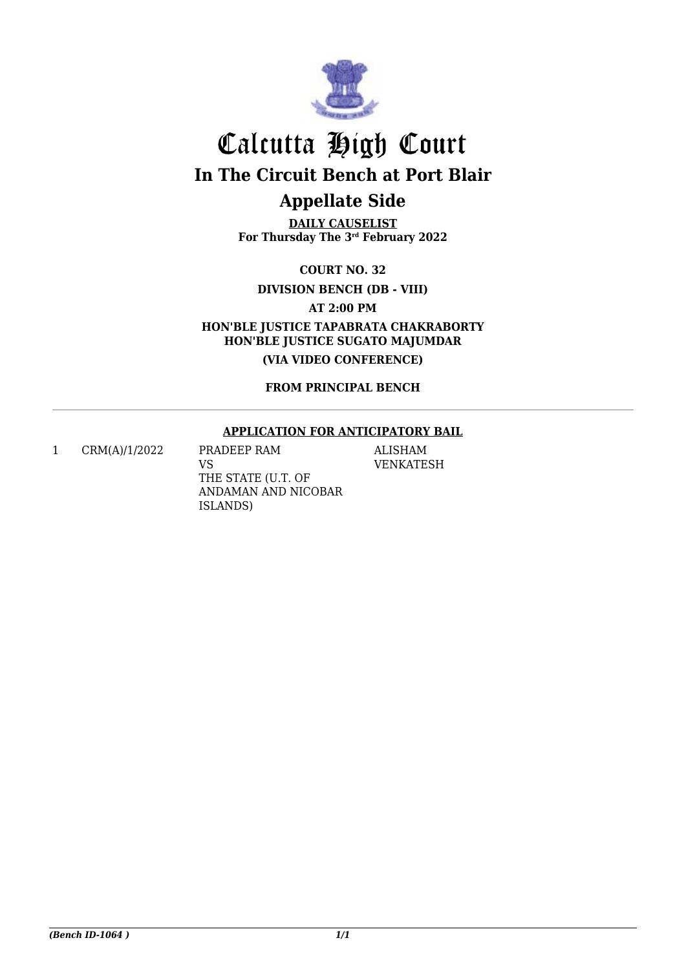

# Calcutta High Court **In The Circuit Bench at Port Blair Appellate Side**

**DAILY CAUSELIST For Thursday The 3rd February 2022**

**COURT NO. 32**

**DIVISION BENCH (DB - VIII)**

**AT 2:00 PM**

**HON'BLE JUSTICE TAPABRATA CHAKRABORTY HON'BLE JUSTICE SUGATO MAJUMDAR**

**(VIA VIDEO CONFERENCE)**

**FROM PRINCIPAL BENCH**

#### **APPLICATION FOR ANTICIPATORY BAIL**

1 CRM(A)/1/2022 PRADEEP RAM

VS THE STATE (U.T. OF ANDAMAN AND NICOBAR ISLANDS)

ALISHAM VENKATESH

*(Bench ID-1064 ) 1/1*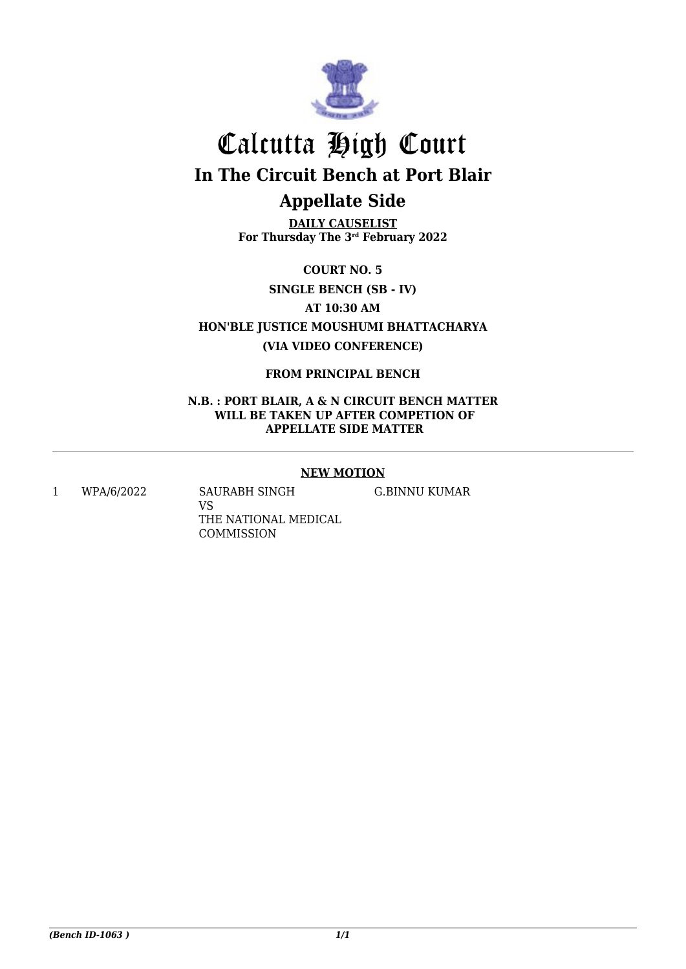

# Calcutta High Court **In The Circuit Bench at Port Blair Appellate Side**

**DAILY CAUSELIST For Thursday The 3rd February 2022**

**COURT NO. 5**

**SINGLE BENCH (SB - IV)**

**AT 10:30 AM**

**HON'BLE JUSTICE MOUSHUMI BHATTACHARYA (VIA VIDEO CONFERENCE)**

**FROM PRINCIPAL BENCH**

**N.B. : PORT BLAIR, A & N CIRCUIT BENCH MATTER WILL BE TAKEN UP AFTER COMPETION OF APPELLATE SIDE MATTER**

## **NEW MOTION**

1 WPA/6/2022 SAURABH SINGH

VS THE NATIONAL MEDICAL COMMISSION

G.BINNU KUMAR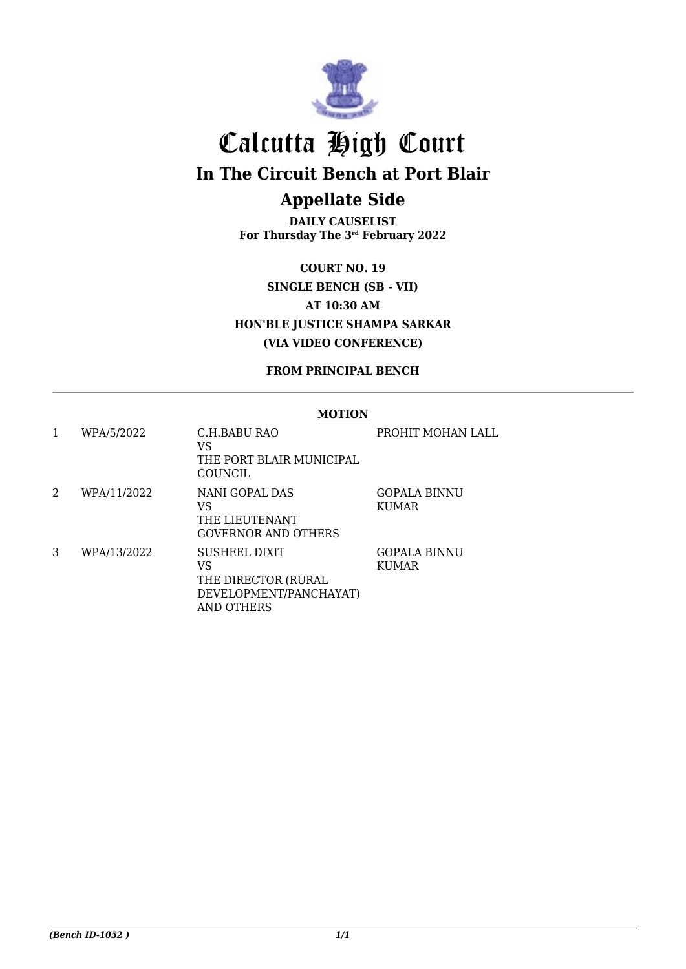

# Calcutta High Court

**In The Circuit Bench at Port Blair**

## **Appellate Side**

**DAILY CAUSELIST For Thursday The 3rd February 2022**

**COURT NO. 19 SINGLE BENCH (SB - VII) AT 10:30 AM HON'BLE JUSTICE SHAMPA SARKAR (VIA VIDEO CONFERENCE)**

## **FROM PRINCIPAL BENCH**

## **MOTION**

|   | WPA/5/2022  | C.H.BABU RAO<br>VS<br>THE PORT BLAIR MUNICIPAL<br>COUNCIL                          | PROHIT MOHAN LALL            |
|---|-------------|------------------------------------------------------------------------------------|------------------------------|
| 2 | WPA/11/2022 | NANI GOPAL DAS<br>VS<br>THE LIEUTENANT<br>GOVERNOR AND OTHERS                      | GOPALA BINNU<br><b>KUMAR</b> |
| 3 | WPA/13/2022 | SUSHEEL DIXIT<br>VS<br>THE DIRECTOR (RURAL<br>DEVELOPMENT/PANCHAYAT)<br>AND OTHERS | GOPALA BINNU<br><b>KUMAR</b> |